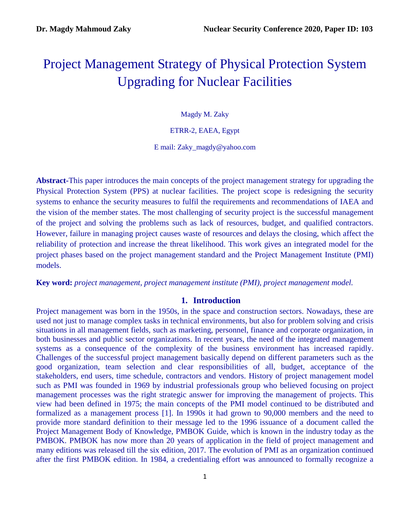# Project Management Strategy of Physical Protection System Upgrading for Nuclear Facilities

Magdy M. Zaky

ETRR-2, EAEA, Egypt

E mail: Zaky\_magdy@yahoo.com

**Abstract-**This paper introduces the main concepts of the project management strategy for upgrading the Physical Protection System (PPS) at nuclear facilities. The project scope is redesigning the security systems to enhance the security measures to fulfil the requirements and recommendations of IAEA and the vision of the member states. The most challenging of security project is the successful management of the project and solving the problems such as lack of resources, budget, and qualified contractors. However, failure in managing project causes waste of resources and delays the closing, which affect the reliability of protection and increase the threat likelihood. This work gives an integrated model for the project phases based on the project management standard and the Project Management Institute (PMI) models.

**Key word:** *project management, project management institute (PMI), project management model.*

### **1. Introduction**

Project management was born in the 1950s, in the space and construction sectors. Nowadays, these are used not just to manage complex tasks in technical environments, but also for problem solving and crisis situations in all management fields, such as marketing, personnel, finance and corporate organization, in both businesses and public sector organizations. In recent years, the need of the integrated management systems as a consequence of the complexity of the business environment has increased rapidly. Challenges of the successful project management basically depend on different parameters such as the good organization, team selection and clear responsibilities of all, budget, acceptance of the stakeholders, end users, time schedule, contractors and vendors. History of project management model such as PMI was founded in 1969 by industrial professionals group who believed focusing on project management processes was the right strategic answer for improving the management of projects. This view had been defined in 1975; the main concepts of the PMI model continued to be distributed and formalized as a management process [1]. In 1990s it had grown to 90,000 members and the need to provide more standard definition to their message led to the 1996 issuance of a document called the Project Management Body of Knowledge, PMBOK Guide, which is known in the industry today as the PMBOK. PMBOK has now more than 20 years of application in the field of project management and many editions was released till the six edition, 2017. The evolution of PMI as an organization continued after the first PMBOK edition. In 1984, a credentialing effort was announced to formally recognize a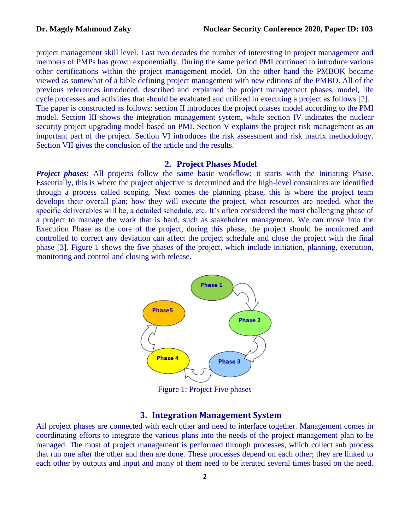project management skill level. Last two decades the number of interesting in project management and members of PMPs has grown exponentially. During the same period PMI continued to introduce various other certifications within the project management model. On the other hand the PMBOK became viewed as somewhat of a bible defining project management with new editions of the PMBO. All of the previous references introduced, described and explained the project management phases, model, life cycle processes and activities that should be evaluated and utilized in executing a project as follows [2]. The paper is constructed as follows: section II introduces the project phases model according to the PMI model. Section III shows the integration management system, while section IV indicates the nuclear security project upgrading model based on PMI. Section V explains the project risk management as an important part of the project. Section VI introduces the risk assessment and risk matrix methodology. Section VII gives the conclusion of the article and the results.

#### **2. Project Phases Model**

*Project phases:* All projects follow the same basic workflow; it starts with the Initiating Phase. Essentially, this is where the project objective is determined and the high-level constraints are identified through a process called scoping. Next comes the planning phase, this is where the project team develops their overall plan; how they will execute the project, what resources are needed, what the specific deliverables will be, a detailed schedule, etc. It's often considered the most challenging phase of a project to manage the work that is hard, such as stakeholder management. We can move into the Execution Phase as the core of the project, during this phase, the project should be monitored and controlled to correct any deviation can affect the project schedule and close the project with the final phase [3]. Figure 1 shows the five phases of the project, which include initiation, planning, execution, monitoring and control and closing with release.



Figure 1: Project Five phases

### **3. Integration Management System**

All project phases are connected with each other and need to interface together. Management comes in coordinating efforts to integrate the various plans into the needs of the project management plan to be managed. The most of project management is performed through processes, which collect sub process that run one after the other and then are done. These processes depend on each other; they are linked to each other by outputs and input and many of them need to be iterated several times based on the need.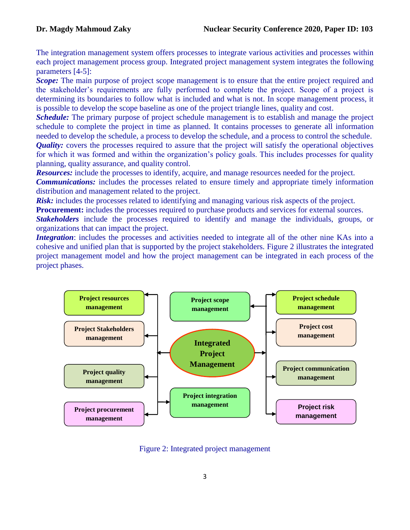The integration management system offers processes to integrate various activities and processes within each project management process group. Integrated project management system integrates the following parameters [4-5]:

*Scope:* The main purpose of project scope management is to ensure that the entire project required and the stakeholder's requirements are fully performed to complete the project. Scope of a project is determining its boundaries to follow what is included and what is not. In scope management process, it is possible to develop the scope baseline as one of the project triangle lines, quality and cost.

*Schedule:* The primary purpose of project schedule management is to establish and manage the project schedule to complete the project in time as planned. It contains processes to generate all information needed to develop the schedule, a process to develop the schedule, and a process to control the schedule. *Quality:* covers the processes required to assure that the project will satisfy the operational objectives for which it was formed and within the organization's policy goals. This includes processes for quality planning, quality assurance, and quality control.

*Resources:* include the processes to identify, acquire, and manage resources needed for the project.

*Communications:* includes the processes related to ensure timely and appropriate timely information distribution and management related to the project.

*Risk:* includes the processes related to identifying and managing various risk aspects of the project.

**Procurement:** includes the processes required to purchase products and services for external sources.

*Stakeholders* include the processes required to identify and manage the individuals, groups, or organizations that can impact the project.

*Integration*: includes the processes and activities needed to integrate all of the other nine KAs into a cohesive and unified plan that is supported by the project stakeholders. Figure 2 illustrates the integrated project management model and how the project management can be integrated in each process of the project phases.



Figure 2: Integrated project management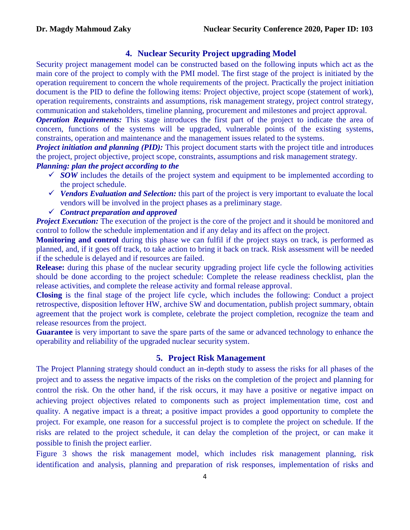# **4. Nuclear Security Project upgrading Model**

Security project management model can be constructed based on the following inputs which act as the main core of the project to comply with the PMI model. The first stage of the project is initiated by the operation requirement to concern the whole requirements of the project. Practically the project initiation document is the PID to define the following items: Project objective, project scope (statement of work), operation requirements, constraints and assumptions, risk management strategy, project control strategy, communication and stakeholders, timeline planning, procurement and milestones and project approval.

*Operation Requirements:* This stage introduces the first part of the project to indicate the area of concern, functions of the systems will be upgraded, vulnerable points of the existing systems, constraints, operation and maintenance and the management issues related to the systems.

*Project initiation and planning (PID):* This project document starts with the project title and introduces the project, project objective, project scope, constraints, assumptions and risk management strategy.

# *Planning: plan the project according to the*

- $\checkmark$  *SOW* includes the details of the project system and equipment to be implemented according to the project schedule.
- *V* Vendors Evaluation and Selection: this part of the project is very important to evaluate the local vendors will be involved in the project phases as a preliminary stage.

## *Contract preparation and approved*

*Project Execution:* The execution of the project is the core of the project and it should be monitored and control to follow the schedule implementation and if any delay and its affect on the project.

**Monitoring and control** during this phase we can fulfil if the project stays on track, is performed as planned, and, if it goes off track, to take action to bring it back on track. Risk assessment will be needed if the schedule is delayed and if resources are failed.

**Release:** during this phase of the nuclear security upgrading project life cycle the following activities should be done according to the project schedule: Complete the release readiness checklist, plan the release activities, and complete the release activity and formal release approval.

**Closing** is the final stage of the project life cycle, which includes the following: Conduct a project retrospective, disposition leftover HW, archive SW and documentation, publish project summary, obtain agreement that the project work is complete, celebrate the project completion, recognize the team and release resources from the project.

**Guarantee** is very important to save the spare parts of the same or advanced technology to enhance the operability and reliability of the upgraded nuclear security system.

## **5. Project Risk Management**

The Project Planning strategy should conduct an in-depth study to assess the risks for all phases of the project and to assess the negative impacts of the risks on the completion of the project and planning for control the risk. On the other hand, if the risk occurs, it may have a positive or negative impact on achieving project objectives related to components such as project implementation time, cost and quality. A negative impact is a threat; a positive impact provides a good opportunity to complete the project. For example, one reason for a successful project is to complete the project on schedule. If the risks are related to the project schedule, it can delay the completion of the project, or can make it possible to finish the project earlier.

Figure 3 shows the risk management model, which includes risk management planning, risk identification and analysis, planning and preparation of risk responses, implementation of risks and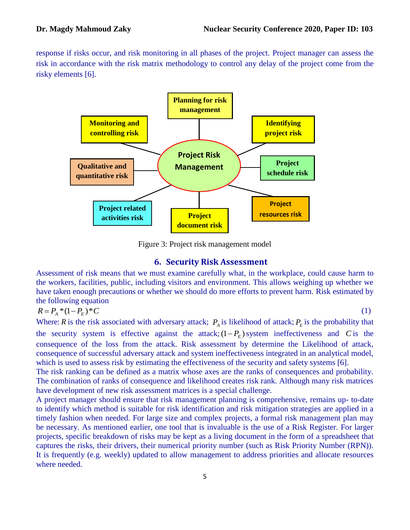response if risks occur, and risk monitoring in all phases of the project. Project manager can assess the risk in accordance with the risk matrix methodology to control any delay of the project come from the risky elements [6].



Figure 3: Project risk management model

# **6. Security Risk Assessment**

Assessment of risk means that we must examine carefully what, in the workplace, could cause harm to the workers, facilities, public, including visitors and environment. This allows weighing up whether we have taken enough precautions or whether we should do more efforts to prevent harm. Risk estimated by the following equation

$$
R = P_A * (1 - P_E) * C \tag{1}
$$

Where: *R* is the risk associated with adversary attack;  $P_A$  is likelihood of attack;  $P_E$  is the probability that the security system is effective against the attack;  $(1 - P_E)$  system ineffectiveness and C is the consequence of the loss from the attack. Risk assessment by determine the Likelihood of attack, consequence of successful adversary attack and system ineffectiveness integrated in an analytical model, which is used to assess risk by estimating the effectiveness of the security and safety systems [6].

The risk ranking can be defined as a matrix whose axes are the ranks of consequences and probability. The combination of ranks of consequence and likelihood creates risk rank. Although many risk matrices have development of new risk assessment matrices is a special challenge.

A project manager should ensure that risk management planning is comprehensive, remains up- to-date to identify which method is suitable for risk identification and risk mitigation strategies are applied in a timely fashion when needed. For large size and complex projects, a formal risk management plan may be necessary. As mentioned earlier, one tool that is invaluable is the use of a Risk Register. For larger projects, specific breakdown of risks may be kept as a living document in the form of a spreadsheet that captures the risks, their drivers, their numerical priority number (such as Risk Priority Number (RPN)). It is frequently (e.g. weekly) updated to allow management to address priorities and allocate resources where needed.